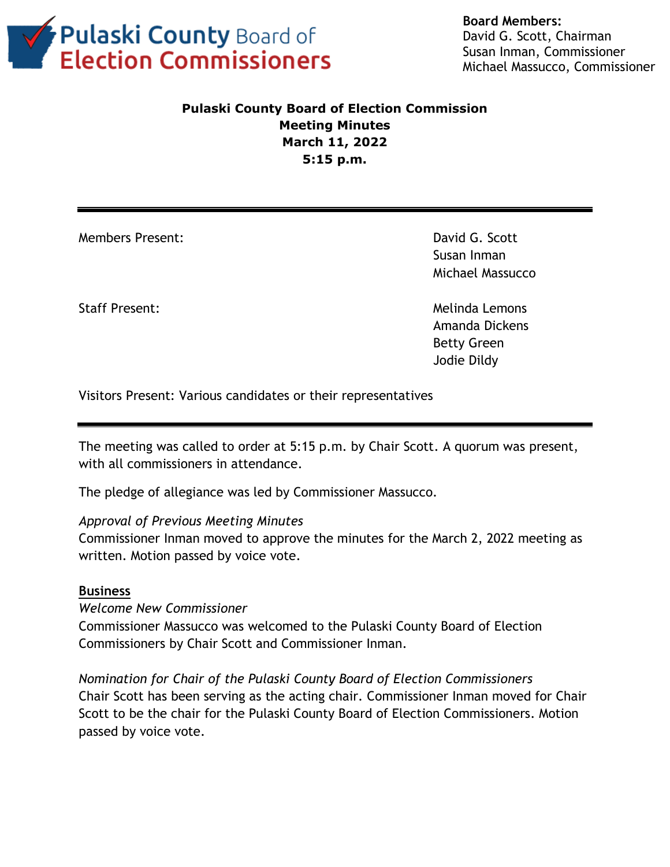

**Board Members:** David G. Scott, Chairman Susan Inman, Commissioner Michael Massucco, Commissioner

# **Pulaski County Board of Election Commission Meeting Minutes March 11, 2022 5:15 p.m.**

Members Present: David G. Scott

Susan Inman Michael Massucco

Staff Present: Melinda Lemons Amanda Dickens Betty Green Jodie Dildy

Visitors Present: Various candidates or their representatives

The meeting was called to order at 5:15 p.m. by Chair Scott. A quorum was present, with all commissioners in attendance.

The pledge of allegiance was led by Commissioner Massucco.

## *Approval of Previous Meeting Minutes*

Commissioner Inman moved to approve the minutes for the March 2, 2022 meeting as written. Motion passed by voice vote.

## **Business**

*Welcome New Commissioner* Commissioner Massucco was welcomed to the Pulaski County Board of Election Commissioners by Chair Scott and Commissioner Inman.

*Nomination for Chair of the Pulaski County Board of Election Commissioners* Chair Scott has been serving as the acting chair. Commissioner Inman moved for Chair Scott to be the chair for the Pulaski County Board of Election Commissioners. Motion passed by voice vote.